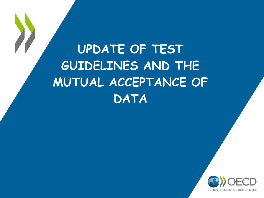**UPDATE OF TEST GUIDELINES AND THE MUTUAL ACCEPTANCE OF DATA** 

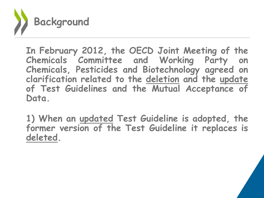

**In February 2012, the OECD Joint Meeting of the Chemicals Committee and Working Party on Chemicals, Pesticides and Biotechnology agreed on clarification related to the deletion and the update of Test Guidelines and the Mutual Acceptance of Data.**

**1) When an updated Test Guideline is adopted, the former version of the Test Guideline it replaces is deleted.**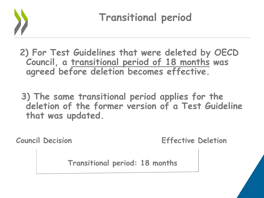

 **Transitional period**

**2) For Test Guidelines that were deleted by OECD Council, a transitional period of 18 months was agreed before deletion becomes effective.**

**3) The same transitional period applies for the deletion of the former version of a Test Guideline that was updated.**

**Council Decision Effective Deletion**

 **Transitional period: 18 months**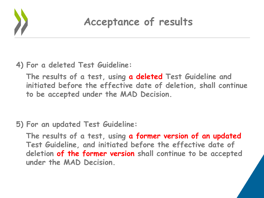

## **Acceptance of results**

## **4) For a deleted Test Guideline:**

**The results of a test, using a deleted Test Guideline and initiated before the effective date of deletion, shall continue to be accepted under the MAD Decision.**

## **5) For an updated Test Guideline:**

**The results of a test, using a former version of an updated Test Guideline, and initiated before the effective date of deletion of the former version shall continue to be accepted under the MAD Decision.**